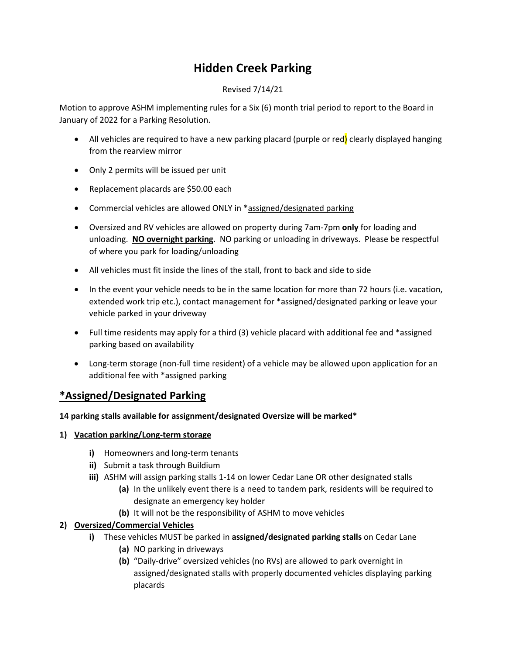# **Hidden Creek Parking**

#### Revised 7/14/21

Motion to approve ASHM implementing rules for a Six (6) month trial period to report to the Board in January of 2022 for a Parking Resolution.

- All vehicles are required to have a new parking placard (purple or red) clearly displayed hanging from the rearview mirror
- Only 2 permits will be issued per unit
- Replacement placards are \$50.00 each
- Commercial vehicles are allowed ONLY in \*assigned/designated parking
- Oversized and RV vehicles are allowed on property during 7am-7pm **only** for loading and unloading. **NO overnight parking**. NO parking or unloading in driveways. Please be respectful of where you park for loading/unloading
- All vehicles must fit inside the lines of the stall, front to back and side to side
- In the event your vehicle needs to be in the same location for more than 72 hours (i.e. vacation, extended work trip etc.), contact management for \*assigned/designated parking or leave your vehicle parked in your driveway
- Full time residents may apply for a third (3) vehicle placard with additional fee and \*assigned parking based on availability
- Long-term storage (non-full time resident) of a vehicle may be allowed upon application for an additional fee with \*assigned parking

## **\*Assigned/Designated Parking**

#### **14 parking stalls available for assignment/designated Oversize will be marked\***

- **1) Vacation parking/Long-term storage**
	- **i)** Homeowners and long-term tenants
	- **ii)** Submit a task through Buildium
	- **iii)** ASHM will assign parking stalls 1-14 on lower Cedar Lane OR other designated stalls
		- **(a)** In the unlikely event there is a need to tandem park, residents will be required to designate an emergency key holder
		- **(b)** It will not be the responsibility of ASHM to move vehicles

#### **2) Oversized/Commercial Vehicles**

- **i)** These vehicles MUST be parked in **assigned/designated parking stalls** on Cedar Lane
	- **(a)** NO parking in driveways
	- **(b)** "Daily-drive" oversized vehicles (no RVs) are allowed to park overnight in assigned/designated stalls with properly documented vehicles displaying parking placards